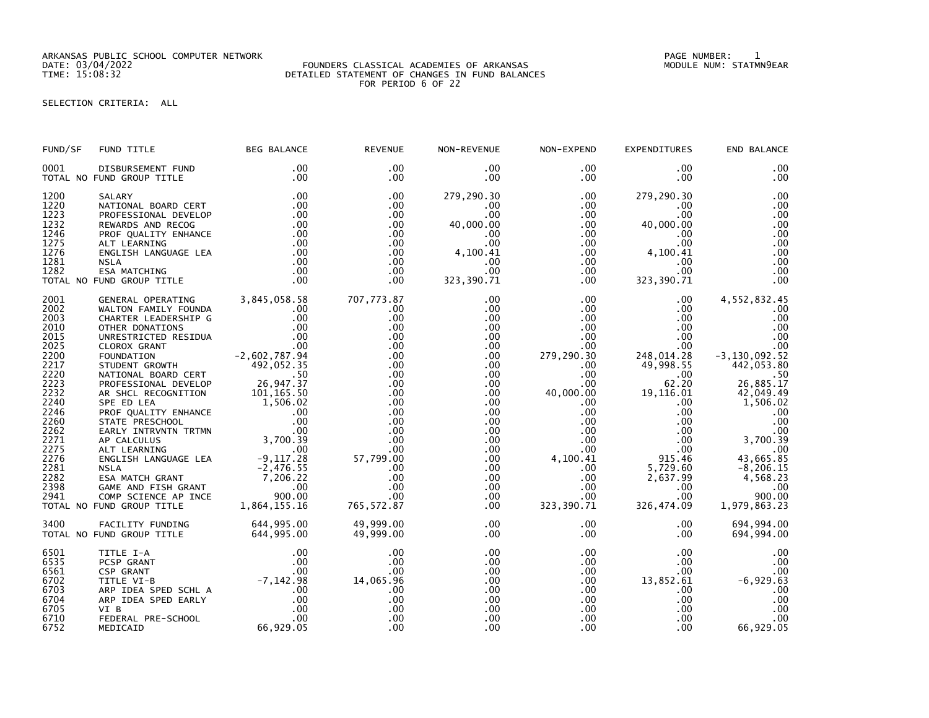ARKANSAS PUBLIC SCHOOL COMPUTER NETWORK PAGE NUMBER: 1

## DATE: 03/04/2022 FOUNDERS CLASSICAL ACADEMIES OF ARKANSAS MODULE NUM: STATMN9EAR TIME: 15:08:32 DETAILED STATEMENT OF CHANGES IN FUND BALANCES FOR PERIOD 6 OF 22

SELECTION CRITERIA: ALL

| FUND/SF                                                                                                                                                                      | FUND TITLE                                                                                                                                                                                                                                                                      | <b>BEG BALANCE</b>                                                                                                                | <b>REVENUE</b>                                                                                                                                                              | NON-REVENUE                                                                                                                                                                                                                                | NON-EXPEND                                                                                                                                                                                                                                                                 | <b>EXPENDITURES</b>                                                                                                                                                                                                                                                | END BALANCE                                                                                                                                                                                                                                                      |
|------------------------------------------------------------------------------------------------------------------------------------------------------------------------------|---------------------------------------------------------------------------------------------------------------------------------------------------------------------------------------------------------------------------------------------------------------------------------|-----------------------------------------------------------------------------------------------------------------------------------|-----------------------------------------------------------------------------------------------------------------------------------------------------------------------------|--------------------------------------------------------------------------------------------------------------------------------------------------------------------------------------------------------------------------------------------|----------------------------------------------------------------------------------------------------------------------------------------------------------------------------------------------------------------------------------------------------------------------------|--------------------------------------------------------------------------------------------------------------------------------------------------------------------------------------------------------------------------------------------------------------------|------------------------------------------------------------------------------------------------------------------------------------------------------------------------------------------------------------------------------------------------------------------|
| 0001                                                                                                                                                                         | DISBURSEMENT FUND<br>TOTAL NO FUND GROUP TITLE                                                                                                                                                                                                                                  | $.00 \,$<br>.00                                                                                                                   | $.00 \times$<br>.00.                                                                                                                                                        | $.00 \,$<br>$.00 \,$                                                                                                                                                                                                                       | $.00 \,$<br>$.00 \,$                                                                                                                                                                                                                                                       | $.00 \,$<br>$.00 \,$                                                                                                                                                                                                                                               | .00<br>.00                                                                                                                                                                                                                                                       |
| 1200<br>1220<br>1223<br>1232<br>1246<br>1275<br>1276<br>1281<br>1282                                                                                                         | SALARY<br>JALANI<br>NATIONAL BOARD CERT<br>PROFESSESSION<br>PROFESSIONAL DEVELOP<br>REWARDS AND RECOG<br>PROF QUALITY ENHANCE<br>ALT LEARNING<br>ENGLISH LANGUAGE LEA<br><b>NSLA</b><br>ESA MATCHING<br>TOTAL NO FUND GROUP TITLE                                               | .00<br>.00<br>$\begin{array}{c} .00\ 00\ 00\ 00\ 00\ 00\ 00\ 00\ \end{array}$<br>.00<br>$\begin{array}{c} .00 \\ .00 \end{array}$ | $.00 \times$<br>.00<br>.00<br>.00<br>.00<br>.00<br>.00<br>.00<br>.00<br>.00                                                                                                 | 279,290.30<br>$.00 \,$<br>.00<br>40,000.00<br>.00<br>00 .<br>00 .<br>4 , 100 . 41<br>.00<br>.00<br>00.<br>323,390.71                                                                                                                       | .00<br>$.00 \,$<br>$.00 \,$<br>$.00\,$<br>.00<br>.00<br>.00<br>$.00\,$<br>$.00\,$<br>$.00 \,$                                                                                                                                                                              | 279,290.30<br>$.00 \cdot$<br>.00<br>40,000.00<br>.00<br>00 .<br>00 .<br>4 , 100 . 41<br>$.00 \,$<br>.00 <sub>1</sub><br>323, 390.71                                                                                                                                | .00<br>.00<br>.00<br>.00<br>.00<br>.00<br>.00<br>.00<br>.00<br>.00                                                                                                                                                                                               |
| 2001<br>2002<br>2003<br>2010<br>2015<br>2025<br>2200<br>2217<br>2220<br>2223<br>2232<br>2240<br>2246<br>2260<br>2262<br>2271<br>2275<br>2276<br>2281<br>2282<br>2398<br>2941 | FUND GROUP TITLE<br>GENERAL OPERATING 3,845,058.58<br>WALTON FAMILY FOUNDA<br>CHARTER LEADERSHIP G .00<br>OTHER DONATIONS<br>UNRESTRICTED RESIDUA .00<br>UNRESTRICTED RESIDUA .00<br>CLOROX GRANT .00<br>CLOROX GRANT .00<br>TOUNDATION<br>STUDENT<br>TOTAL NO FUND GROUP TITLE |                                                                                                                                   | 707,773.87<br>.00<br>.00<br>.00<br>.00<br>.00<br>.00<br>.00<br>.00<br>.00<br>.00<br>.00<br>.00<br>.00<br>.00<br>$57,799.00$<br>57,799.00<br>.0<br>.00<br>.00<br>765, 572.87 | .00<br>.00.<br>.00<br>.00<br>.00<br>.00<br>.00<br>$.00 \,$<br>$.00 \,$<br>$.00 \,$<br>.00<br>$.00 \,$<br>.00<br>$.00 \,$<br>.00 <sub>1</sub><br>$.00 \,$<br>$.00 \,$<br>$.00 \,$<br>.00<br>.00 <sub>1</sub><br>$.00 \,$<br>.00<br>$.00 \,$ | $.00 \,$<br>$.00 \,$<br>$.00 \,$<br>$.00 \,$<br>$.00 \,$<br>$.00 \,$<br>279,290.30<br>$.00 \,$<br>$.00 \,$<br>.00<br>$.00\,$<br>$.00\,$<br>.00<br>$.00\,$<br>$\begin{array}{c} 0.00 \\ -0.0 \end{array}$<br>4,100.41<br>$.00\,$<br>$.00\,$<br>$.00\,$<br>.00<br>323,390.71 | $.00 \,$<br>$.00 \,$<br>$.00 \,$<br>$.00 \,$<br>$.00 \,$<br>$.00 \,$<br>248,014.28<br>49,998.55<br>.00<br>62.20<br>$62.20$<br>40,000.00 $19,116.01$<br>$.00\,$<br>.00<br>$\frac{00}{00}$<br>$.00 \,$<br>915.46<br>5,729.60<br>2,637.99<br>.00<br>.00<br>326,474.09 | 4,552,832.45<br>.00<br>.00<br>.00<br>.00<br>.00<br>-3,130,092.52<br>442,053.80<br>.50<br>26,885.17<br>42,049.49<br>1,506.02<br>.00<br>.00<br>.00<br>00 <sub>0</sub><br>3,700.39<br>.00<br>43,665.85<br>$-8, 206.15$<br>4,568.23<br>.00<br>900.00<br>1,979,863.23 |
| 3400                                                                                                                                                                         | FACILITY FUNDING 644,995.00<br>FUND GROUP TITLE 644,995.00<br>TOTAL NO FUND GROUP TITLE                                                                                                                                                                                         |                                                                                                                                   | 49,999.00<br>49,999.00                                                                                                                                                      | $.00 \,$<br>.00                                                                                                                                                                                                                            | $.00 \,$<br>$.00 \,$                                                                                                                                                                                                                                                       | $.00 \,$<br>.00                                                                                                                                                                                                                                                    | 694,994.00<br>694,994.00                                                                                                                                                                                                                                         |
| 6501<br>6535<br>6561<br>6702<br>6703<br>6704<br>6705<br>6710<br>6752                                                                                                         | TITLE I-A 00<br>PCSP GRANT 00<br>CSP GRANT 00<br>TITLE VI-B -7,142.98<br>ARP IDEA SPED SCHL A -7,142.98<br>ARP IDEA SPED EARLY 00<br>VI B 00<br>FEDERAL PRE-SCHOOL 00<br>MEDICAID 66,929.05<br>MEDICAID                                                                         | 66,929.05                                                                                                                         | .00<br>$14,065.96$<br>0.00.00<br>0.00.<br>.00<br>.00<br>.00                                                                                                                 | .00<br>$.00 \,$<br>.00<br>.00<br>.00<br>.00<br>.00<br>.00<br>.00                                                                                                                                                                           | $.00 \,$<br>$.00 \,$<br>$.00 \,$<br>.00<br>$.00 \,$<br>$.00\,$<br>$.00 \,$<br>$.00 \,$<br>.00                                                                                                                                                                              | $.00 \,$<br>$.00 \,$<br>$.00 \,$<br>13,852.61<br>$.00 \,$<br>.00<br>$.00 \,$<br>$.00 \,$<br>$.00 \,$                                                                                                                                                               | .00<br>.00<br>.00<br>$-6,929.63$<br>.00<br>.00<br>.00<br>.00<br>66,929.05                                                                                                                                                                                        |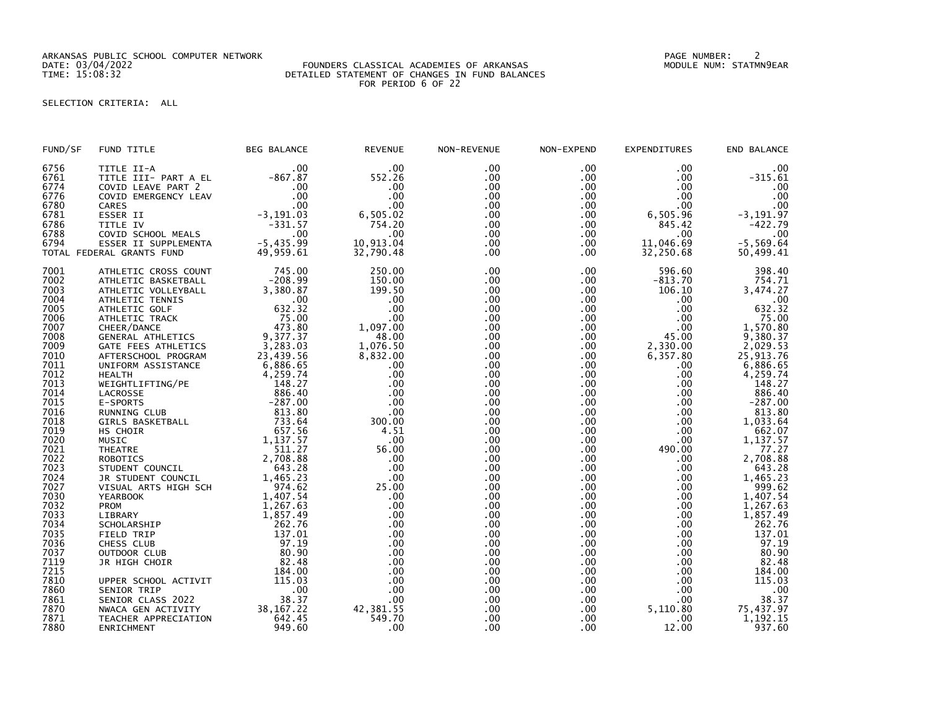ARKANSAS PUBLIC SCHOOL COMPUTER NETWORK PAGE NUMBER: 2

## DATE: 03/04/2022 FOUNDERS CLASSICAL ACADEMIES OF ARKANSAS MODULE NUM: STATMN9EAR TIME: 15:08:32 DETAILED STATEMENT OF CHANGES IN FUND BALANCES FOR PERIOD 6 OF 22

SELECTION CRITERIA: ALL

| FUND/SF                      | FUND TITLE                                                                       | <b>BEG BALANCE</b>             | <b>REVENUE</b>              | NON-REVENUE              | NON-EXPEND                         | <b>EXPENDITURES</b>        | END BALANCE                    |
|------------------------------|----------------------------------------------------------------------------------|--------------------------------|-----------------------------|--------------------------|------------------------------------|----------------------------|--------------------------------|
| 6756<br>6761<br>6774<br>6776 | TITLE II-A<br>TITLE III- PART A EL<br>COVID LEAVE PART 2<br>COVID EMERGENCY LEAV | .00<br>$-867.87$<br>.00<br>.00 | .00<br>552.26<br>.00<br>.00 | .00<br>.00<br>.00<br>.00 | .00<br>$.00 \,$<br>$.00 \,$<br>.00 | .00<br>.00.<br>.00.<br>.00 | .00<br>$-315.61$<br>.00<br>.00 |
| 6780                         | CARES                                                                            | .00                            | .00                         | .00                      | $.00 \,$                           | .00                        | .00                            |
| 6781<br>6786                 | ESSER II<br>TITLE IV                                                             | $-3, 191.03$<br>$-331.57$      | 6,505.02<br>754.20          | .00<br>.00               | .00<br>$.00 \,$                    | 6,505.96<br>845.42         | $-3, 191.97$<br>$-422.79$      |
| 6788                         | COVID SCHOOL MEALS                                                               | .00                            | .00                         | .00                      | .00                                | .00                        | .00                            |
| 6794                         | ESSER II SUPPLEMENTA                                                             | $-5,435.99$                    | 10,913.04                   | .00                      | $.00 \,$                           | 11,046.69                  | $-5,569.64$                    |
|                              | TOTAL FEDERAL GRANTS FUND                                                        | 49,959.61                      | 32,790.48                   | .00                      | $.00 \,$                           | 32,250.68                  | 50,499.41                      |
| 7001                         | ATHLETIC CROSS COUNT                                                             | 745.00                         | 250.00                      | .00                      | $.00 \times$                       | 596.60                     | 398.40                         |
| 7002                         | ATHLETIC BASKETBALL                                                              | $-208.99$                      | 150.00                      | .00                      | $.00 \,$                           | $-813.70$                  | 754.71                         |
| 7003                         | ATHLETIC VOLLEYBALL                                                              | 3,380.87                       | 199.50                      | .00                      | $.00 \,$                           | 106.10                     | 3,474.27                       |
| 7004                         | ATHLETIC TENNIS                                                                  | .00                            | .00                         | .00                      | $.00 \,$                           | .00                        | .00                            |
| 7005                         | ATHLETIC GOLF                                                                    | 632.32                         | .00                         | .00                      | .00                                | .00                        | 632.32                         |
| 7006<br>7007                 | ATHLETIC TRACK                                                                   | 75.00<br>473.80                | .00<br>1,097.00             | .00<br>.00               | .00<br>$.00 \,$                    | $.00 \,$<br>.00            | 75.00<br>1,570.80              |
| 7008                         | CHEER/DANCE<br><b>GENERAL ATHLETICS</b>                                          | 9,377.37                       | 48.00                       | .00                      | .00                                | 45.00                      |                                |
| 7009                         | GATE FEES ATHLETICS                                                              | 3,283.03                       | 1,076.50                    | .00                      | .00                                | 2,330.00                   | 9,380.37<br>2,029.53           |
| 7010                         | AFTERSCHOOL PROGRAM                                                              | 23,439.56                      | 8,832.00                    | .00                      | .00                                | 6,357.80                   | 25,913.76                      |
| 7011                         | UNIFORM ASSISTANCE                                                               | 6,886.65                       | .00                         | .00                      | $.00 \,$                           | .00                        | 6,886.65                       |
| 7012                         | HEALTH                                                                           | 4,259.74                       | .00                         | .00                      | $.00 \,$                           | .00                        | 4,259.74                       |
| 7013                         | WEIGHTLIFTING/PE                                                                 | 148.27                         | .00                         | .00                      | .00 <sub>1</sub>                   | .00                        | 148.27                         |
| 7014                         | LACROSSE                                                                         | 886.40                         | .00                         | .00                      | .00                                | $.00 \,$                   | 886.40                         |
| 7015                         | E-SPORTS                                                                         | $-287.00$                      | .00                         | .00                      | .00                                | $.00 \,$                   | $-287.00$                      |
| 7016                         | RUNNING CLUB                                                                     | 813.80                         | .00                         | .00                      | $.00 \,$                           | $.00 \,$                   | 813.80                         |
| 7018                         | GIRLS BASKETBALL                                                                 | 733.64                         | 300.00                      | .00.                     | .00 <sub>1</sub>                   | .00                        | 1,033.64                       |
| 7019                         | HS CHOIR                                                                         | 657.56                         | 4.51                        | .00                      | .00                                | $.00 \,$                   | 662.07                         |
| 7020                         | MUSIC                                                                            | 1,137.57                       | .00                         | .00                      | $.00 \,$                           | .00.                       | 1,137.57                       |
| 7021<br>7022                 | <b>THEATRE</b>                                                                   | 511.27<br>2,708.88             | 56.00<br>.00                | .00<br>.00               | $.00 \,$<br>$.00 \,$               | 490.00<br>.00              | 77.27<br>2,708.88              |
| 7023                         | <b>ROBOTICS</b><br>STUDENT COUNCIL                                               | 643.28                         | .00                         | .00                      | $.00 \,$                           | $.00 \,$                   | 643.28                         |
| 7024                         | JR STUDENT COUNCIL                                                               | 1,465.23                       | .00                         | .00                      | $.00 \,$                           | $.00 \,$                   | 1,465.23                       |
| 7027                         | VISUAL ARTS HIGH SCH                                                             | 974.62                         | 25.00                       | .00                      | $.00 \,$                           | $.00 \,$                   | 999.62                         |
| 7030                         | <b>YEARBOOK</b>                                                                  | 1,407.54                       | .00                         | .00                      | .00 <sub>1</sub>                   | $.00 \,$                   | 1,407.54                       |
| 7032                         | PROM                                                                             | 1,267.63                       | .00                         | .00                      | .00                                | $.00 \,$                   | 1,267.63                       |
| 7033                         | LIBRARY                                                                          | 1,857.49                       | .00                         | .00                      | $.00 \,$                           | $.00 \,$                   | 1,857.49                       |
| 7034                         | SCHOLARSHIP                                                                      | 262.76                         | .00                         | .00                      | .00                                | .00                        | 262.76                         |
| 7035                         | FIELD TRIP                                                                       | 137.01                         | .00                         | .00                      | $.00 \,$                           | .00                        | 137.01                         |
| 7036                         | CHESS CLUB                                                                       | 97.19                          | .00                         | .00                      | .00                                | .00                        | 97.19                          |
| 7037                         | OUTDOOR CLUB                                                                     | 80.90                          | .00                         | .00                      | .00                                | .00.                       | 80.90                          |
| 7119                         | JR HIGH CHOIR                                                                    | 82.48                          | .00                         | .00                      | .00                                | .00.                       | 82.48                          |
| 7215                         |                                                                                  | 184.00                         | .00                         | .00                      | .00                                | $.00 \,$                   | 184.00                         |
| 7810                         | UPPER SCHOOL ACTIVIT                                                             | 115.03                         | .00                         | .00                      | $.00 \,$                           | .00                        | 115.03                         |
| 7860<br>7861                 | SENIOR TRIP<br>SENIOR CLASS 2022                                                 | .00<br>38.37                   | .00<br>.00                  | .00<br>.00               | .00<br>$.00 \,$                    | .00<br>$.00 \,$            | $.00$<br>38.37                 |
| 7870                         | NWACA GEN ACTIVITY                                                               | 38, 167.22                     |                             | .00                      | .00                                | 5,110.80                   |                                |
| 7871                         | TEACHER APPRECIATION                                                             | 642.45                         | 42, 381.55<br>549.70        | .00                      | $.00 \,$                           | .00                        | 75, 437.97<br>1, 192.15        |
| 7880                         | ENRICHMENT                                                                       | 949.60                         | .00                         | .00                      | .00                                | 12.00                      | 937.60                         |